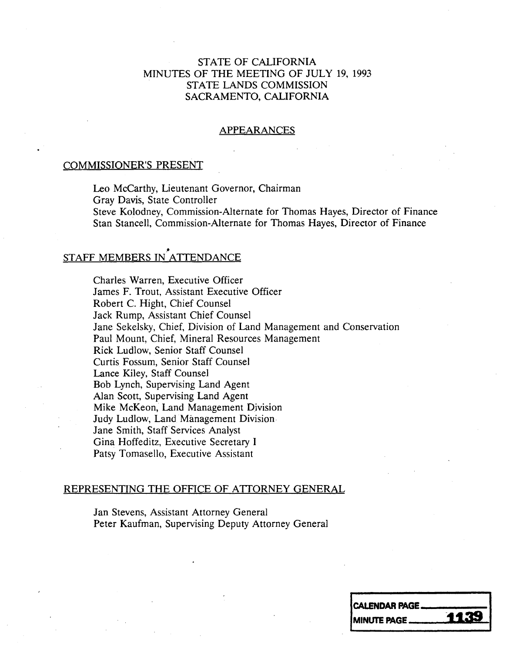## STATE OF CALIFORNIA MINUTES OF THE MEETING OF JULY 19, 1993 STATE LANDS COMMISSION SACRAMENTO, CALIFORNIA

#### APPEARANCES

#### COMMISSIONER'S PRESENT

Leo McCarthy, Lieutenant Governor, Chairman<br>Grav Davis, State Controller Steve Kolodney, Commission-Alternate for Thomas Hayes, Director of Finance Steve Kolodney, Commission-Alternate for Thomas Hayes, Director of Finance Stan Stancell, Commission-Alternate for Thomas Hayes, Director of Finance

# STAFF MEMBERS IN ATTENDANCE

Charles Warren, Executive Officer James F. Trout, Assistant Executive Officer Robert C. Hight, Chief Counsel Jack Rump, Assistant Chief Counsel Jane Sekelsky, Chief, Division of Land Management and Conservation Paul Mount, Chief, Mineral Resources Management Rick Ludlow, Senior Staff Counsel Curtis Fossum, Senior Staff Counsel Lance Kiley, Staff Counsel<br>Bob Lynch, Supervising Land Agent Alan Scott, Supervising Land Agent Alan Scott, Supervising Land Agent Mike McKeon, Land Management Division Judy Ludlow, Land Management Division Jane Smith, Staff Services Analyst Gina Hoffeditz, Executive Secretary I Patsy Tomasello, Executive Assistant

### REPRESENTING THE OFFICE OF ATTORNEY GENERAL

Jan Stevens, Assistant Attorney General Peter Kaufman, Supervising Deputy Attorney General

| CALENDAR PAGE_     |      |
|--------------------|------|
| <b>MINUTE PAGE</b> | 1139 |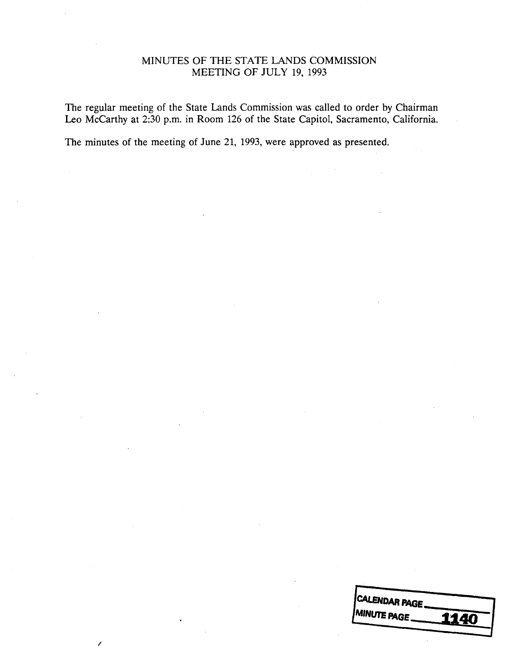## MINUTES OF THE STATE LANDS COMMISSION MEETING OF JULY 19, 1993

The regular meeting of the State Lands Commission was called to order by Chairman Leo Mccarthy at 2:30 p.m. in Room 126 of the State Capitol, Sacramento, California.

The minutes of the meeting of June 21, 1993, were approved as presented.

| CALENDAR PAGE.                     |
|------------------------------------|
| <b>MINUTE PAGE.</b><br><b>1140</b> |
|                                    |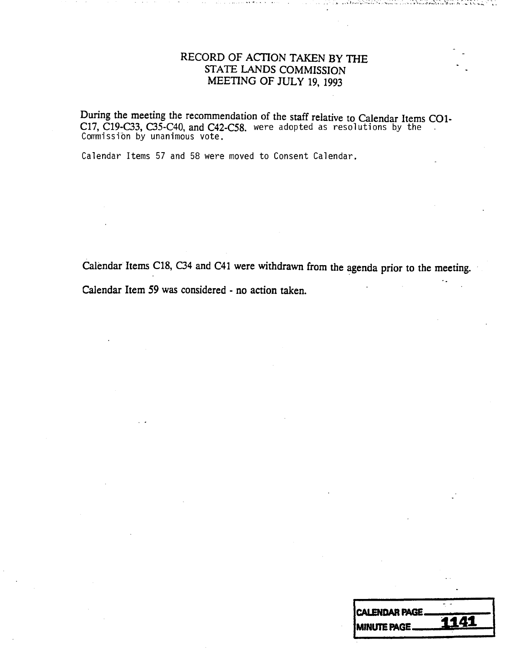# RECORD OF ACTION TAKEN BY THE STATE LANDS COMMISSION MEETING OF JULY 19, 1993

During the meeting the recommendation of the staff relative to Calendar Items CO C17, C19-C33, C35-C40, and C42-C58. were adopted as resolutions by the Commission by unanimous vote.

Calendar Items 57 and 58 were moved to Consent Calendar.

Calendar Items C18, C34 and C41 were withdrawn from the agenda prior to the meeting. Calendar Item 59 was considered - no action taken.

| CALENDAR PAGE. |      |
|----------------|------|
|                | 1141 |
| MINUTE PAGE_   |      |
|                |      |
|                |      |